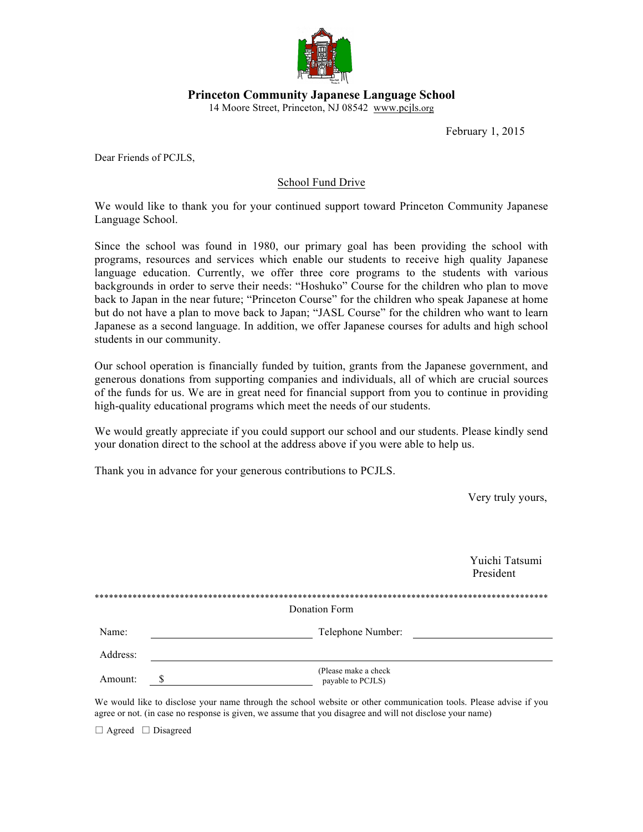

**Princeton Community Japanese Language School**

14 Moore Street, Princeton, NJ 08542 www.pcjls.org

February 1, 2015

Dear Friends of PCJLS,

## School Fund Drive

We would like to thank you for your continued support toward Princeton Community Japanese Language School.

Since the school was found in 1980, our primary goal has been providing the school with programs, resources and services which enable our students to receive high quality Japanese language education. Currently, we offer three core programs to the students with various backgrounds in order to serve their needs: "Hoshuko" Course for the children who plan to move back to Japan in the near future; "Princeton Course" for the children who speak Japanese at home but do not have a plan to move back to Japan; "JASL Course" for the children who want to learn Japanese as a second language. In addition, we offer Japanese courses for adults and high school students in our community.

Our school operation is financially funded by tuition, grants from the Japanese government, and generous donations from supporting companies and individuals, all of which are crucial sources of the funds for us. We are in great need for financial support from you to continue in providing high-quality educational programs which meet the needs of our students.

We would greatly appreciate if you could support our school and our students. Please kindly send your donation direct to the school at the address above if you were able to help us.

Thank you in advance for your generous contributions to PCJLS.

Very truly yours,

 Yuichi Tatsumi President

|          | Donation Form                             |
|----------|-------------------------------------------|
| Name:    | Telephone Number:                         |
| Address: |                                           |
| Amount:  | (Please make a check<br>payable to PCJLS) |

We would like to disclose your name through the school website or other communication tools. Please advise if you agree or not. (in case no response is given, we assume that you disagree and will not disclose your name)

□ Agreed □ Disagreed